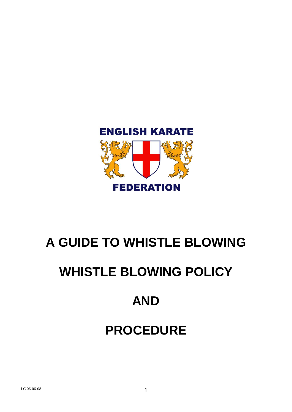

# **A GUIDE TO WHISTLE BLOWING**

# **WHISTLE BLOWING POLICY**

# **AND**

# **PROCEDURE**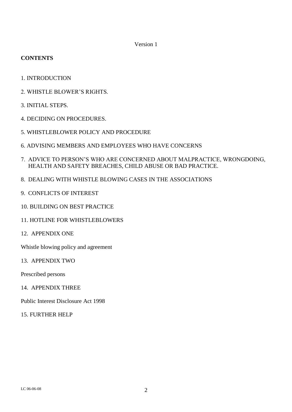Version 1

## **CONTENTS**

- 1. INTRODUCTION
- 2. WHISTLE BLOWER"S RIGHTS.
- 3. INITIAL STEPS.
- 4. DECIDING ON PROCEDURES.
- 5. WHISTLEBLOWER POLICY AND PROCEDURE
- 6. ADVISING MEMBERS AND EMPLOYEES WHO HAVE CONCERNS
- 7. ADVICE TO PERSON"S WHO ARE CONCERNED ABOUT MALPRACTICE, WRONGDOING, HEALTH AND SAFETY BREACHES, CHILD ABUSE OR BAD PRACTICE.
- 8. DEALING WITH WHISTLE BLOWING CASES IN THE ASSOCIATIONS
- 9. CONFLICTS OF INTEREST
- 10. BUILDING ON BEST PRACTICE
- 11. HOTLINE FOR WHISTLEBLOWERS
- 12. APPENDIX ONE

Whistle blowing policy and agreement

13. APPENDIX TWO

Prescribed persons

14. APPENDIX THREE

Public Interest Disclosure Act 1998

15. FURTHER HELP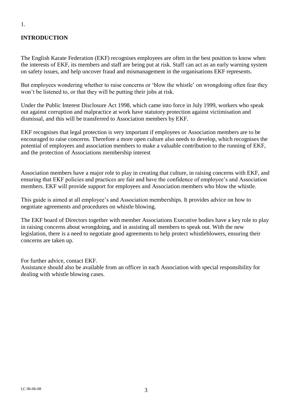# **INTRODUCTION**

The English Karate Federation (EKF) recognises employees are often in the best position to know when the interests of EKF, its members and staff are being put at risk. Staff can act as an early warning system on safety issues, and help uncover fraud and mismanagement in the organisations EKF represents.

But employees wondering whether to raise concerns or 'blow the whistle' on wrongdoing often fear they won"t be listened to, or that they will be putting their jobs at risk.

Under the Public Interest Disclosure Act 1998, which came into force in July 1999, workers who speak out against corruption and malpractice at work have statutory protection against victimisation and dismissal, and this will be transferred to Association members by EKF.

EKF recognises that legal protection is very important if employees or Association members are to be encouraged to raise concerns. Therefore a more open culture also needs to develop, which recognises the potential of employees and association members to make a valuable contribution to the running of EKF, and the protection of Associations membership interest

Association members have a major role to play in creating that culture, in raising concerns with EKF, and ensuring that EKF policies and practices are fair and have the confidence of employee"s and Association members. EKF will provide support for employees and Association members who blow the whistle.

This guide is aimed at all employee"s and Association memberships. It provides advice on how to negotiate agreements and procedures on whistle blowing.

The EKF board of Directors together with member Associations Executive bodies have a key role to play in raising concerns about wrongdoing, and in assisting all members to speak out. With the new legislation, there is a need to negotiate good agreements to help protect whistleblowers, ensuring their concerns are taken up.

For further advice, contact EKF. Assistance should also be available from an officer in each Association with special responsibility for dealing with whistle blowing cases.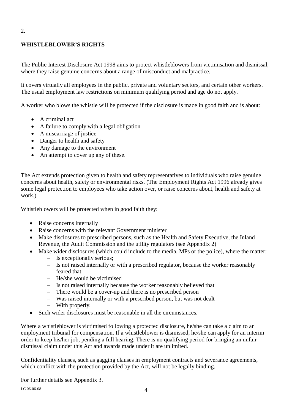# **WHISTLEBLOWER'S RIGHTS**

2.

The Public Interest Disclosure Act 1998 aims to protect whistleblowers from victimisation and dismissal, where they raise genuine concerns about a range of misconduct and malpractice.

It covers virtually all employees in the public, private and voluntary sectors, and certain other workers. The usual employment law restrictions on minimum qualifying period and age do not apply.

A worker who blows the whistle will be protected if the disclosure is made in good faith and is about:

- A criminal act
- A failure to comply with a legal obligation
- A miscarriage of justice
- Danger to health and safety
- Any damage to the environment
- An attempt to cover up any of these.

The Act extends protection given to health and safety representatives to individuals who raise genuine concerns about health, safety or environmental risks. (The Employment Rights Act 1996 already gives some legal protection to employees who take action over, or raise concerns about, health and safety at work.)

Whistleblowers will be protected when in good faith they:

- Raise concerns internally
- Raise concerns with the relevant Government minister
- Make disclosures to prescribed persons, such as the Health and Safety Executive, the Inland Revenue, the Audit Commission and the utility regulators (see Appendix 2)
- Make wider disclosures (which could include to the media, MPs or the police), where the matter:
	- Is exceptionally serious;
	- Is not raised internally or with a prescribed regulator, because the worker reasonably feared that
	- He/she would be victimised
	- Is not raised internally because the worker reasonably believed that
	- There would be a cover-up and there is no prescribed person
	- Was raised internally or with a prescribed person, but was not dealt
	- With properly.
- Such wider disclosures must be reasonable in all the circumstances.

Where a whistleblower is victimised following a protected disclosure, he/she can take a claim to an employment tribunal for compensation. If a whistleblower is dismissed, he/she can apply for an interim order to keep his/her job, pending a full hearing. There is no qualifying period for bringing an unfair dismissal claim under this Act and awards made under it are unlimited.

Confidentiality clauses, such as gagging clauses in employment contracts and severance agreements, which conflict with the protection provided by the Act, will not be legally binding.

For further details see Appendix 3.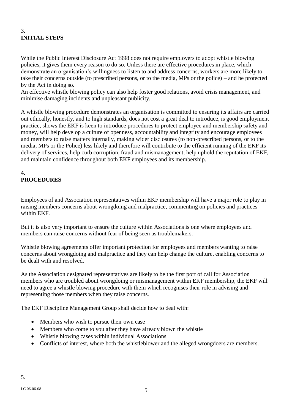# 3. **INITIAL STEPS**

While the Public Interest Disclosure Act 1998 does not require employers to adopt whistle blowing policies, it gives them every reason to do so. Unless there are effective procedures in place, which demonstrate an organisation's willingness to listen to and address concerns, workers are more likely to take their concerns outside (to prescribed persons, or to the media, MPs or the police) – and be protected by the Act in doing so.

An effective whistle blowing policy can also help foster good relations, avoid crisis management, and minimise damaging incidents and unpleasant publicity.

A whistle blowing procedure demonstrates an organisation is committed to ensuring its affairs are carried out ethically, honestly, and to high standards, does not cost a great deal to introduce, is good employment practice, shows the EKF is keen to introduce procedures to protect employee and membership safety and money, will help develop a culture of openness, accountability and integrity and encourage employees and members to raise matters internally, making wider disclosures (to non-prescribed persons, or to the media, MPs or the Police) less likely and therefore will contribute to the efficient running of the EKF its delivery of services, help curb corruption, fraud and mismanagement, help uphold the reputation of EKF, and maintain confidence throughout both EKF employees and its membership.

# 4. **PROCEDURES**

Employees of and Association representatives within EKF membership will have a major role to play in raising members concerns about wrongdoing and malpractice, commenting on policies and practices within EKF.

But it is also very important to ensure the culture within Associations is one where employees and members can raise concerns without fear of being seen as troublemakers.

Whistle blowing agreements offer important protection for employees and members wanting to raise concerns about wrongdoing and malpractice and they can help change the culture, enabling concerns to be dealt with and resolved.

As the Association designated representatives are likely to be the first port of call for Association members who are troubled about wrongdoing or mismanagement within EKF membership, the EKF will need to agree a whistle blowing procedure with them which recognises their role in advising and representing those members when they raise concerns.

The EKF Discipline Management Group shall decide how to deal with:

- Members who wish to pursue their own case
- Members who come to you after they have already blown the whistle
- Whistle blowing cases within individual Associations
- Conflicts of interest, where both the whistleblower and the alleged wrongdoers are members.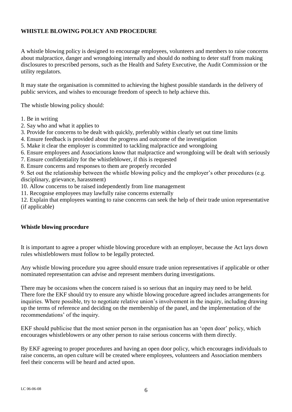## **WHISTLE BLOWING POLICY AND PROCEDURE**

A whistle blowing policy is designed to encourage employees, volunteers and members to raise concerns about malpractice, danger and wrongdoing internally and should do nothing to deter staff from making disclosures to prescribed persons, such as the Health and Safety Executive, the Audit Commission or the utility regulators.

It may state the organisation is committed to achieving the highest possible standards in the delivery of public services, and wishes to encourage freedom of speech to help achieve this.

The whistle blowing policy should:

- 1. Be in writing
- 2. Say who and what it applies to
- 3. Provide for concerns to be dealt with quickly, preferably within clearly set out time limits
- 4. Ensure feedback is provided about the progress and outcome of the investigation
- 5. Make it clear the employer is committed to tackling malpractice and wrongdoing
- 6. Ensure employees and Associations know that malpractice and wrongdoing will be dealt with seriously
- 7. Ensure confidentiality for the whistleblower, if this is requested
- 8. Ensure concerns and responses to them are properly recorded

9. Set out the relationship between the whistle blowing policy and the employer's other procedures (e.g. disciplinary, grievance, harassment)

- 10. Allow concerns to be raised independently from line management
- 11. Recognise employees may lawfully raise concerns externally

12. Explain that employees wanting to raise concerns can seek the help of their trade union representative (if applicable)

#### **Whistle blowing procedure**

It is important to agree a proper whistle blowing procedure with an employer, because the Act lays down rules whistleblowers must follow to be legally protected.

Any whistle blowing procedure you agree should ensure trade union representatives if applicable or other nominated representation can advise and represent members during investigations.

There may be occasions when the concern raised is so serious that an inquiry may need to be held. There fore the EKF should try to ensure any whistle blowing procedure agreed includes arrangements for inquiries. Where possible, try to negotiate relative union"s involvement in the inquiry, including drawing up the terms of reference and deciding on the membership of the panel, and the implementation of the recommendations" of the inquiry.

EKF should publicise that the most senior person in the organisation has an "open door" policy, which encourages whistleblowers or any other person to raise serious concerns with them directly.

By EKF agreeing to proper procedures and having an open door policy, which encourages individuals to raise concerns, an open culture will be created where employees, volunteers and Association members feel their concerns will be heard and acted upon.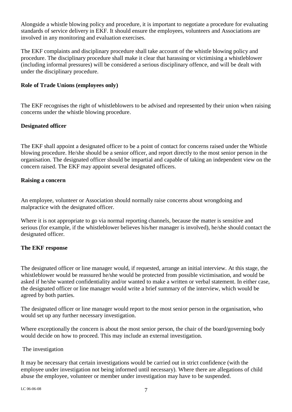Alongside a whistle blowing policy and procedure, it is important to negotiate a procedure for evaluating standards of service delivery in EKF. It should ensure the employees, volunteers and Associations are involved in any monitoring and evaluation exercises.

The EKF complaints and disciplinary procedure shall take account of the whistle blowing policy and procedure. The disciplinary procedure shall make it clear that harassing or victimising a whistleblower (including informal pressures) will be considered a serious disciplinary offence, and will be dealt with under the disciplinary procedure.

## **Role of Trade Unions (employees only)**

The EKF recognises the right of whistleblowers to be advised and represented by their union when raising concerns under the whistle blowing procedure.

## **Designated officer**

The EKF shall appoint a designated officer to be a point of contact for concerns raised under the Whistle blowing procedure. He/she should be a senior officer, and report directly to the most senior person in the organisation. The designated officer should be impartial and capable of taking an independent view on the concern raised. The EKF may appoint several designated officers.

## **Raising a concern**

An employee, volunteer or Association should normally raise concerns about wrongdoing and malpractice with the designated officer.

Where it is not appropriate to go via normal reporting channels, because the matter is sensitive and serious (for example, if the whistleblower believes his/her manager is involved), he/she should contact the designated officer.

## **The EKF response**

The designated officer or line manager would, if requested, arrange an initial interview. At this stage, the whistleblower would be reassured he/she would be protected from possible victimisation, and would be asked if he/she wanted confidentiality and/or wanted to make a written or verbal statement. In either case, the designated officer or line manager would write a brief summary of the interview, which would be agreed by both parties.

The designated officer or line manager would report to the most senior person in the organisation, who would set up any further necessary investigation.

Where exceptionally the concern is about the most senior person, the chair of the board/governing body would decide on how to proceed. This may include an external investigation.

## The investigation

It may be necessary that certain investigations would be carried out in strict confidence (with the employee under investigation not being informed until necessary). Where there are allegations of child abuse the employee, volunteer or member under investigation may have to be suspended.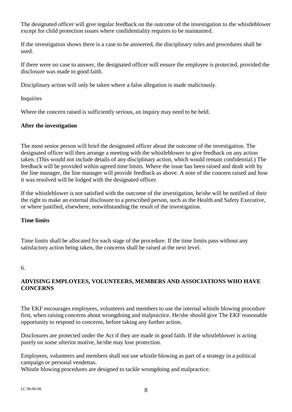The designated officer will give regular feedback on the outcome of the investigation to the whistleblower except for child protection issues where confidentiality requires to be maintained.

If the investigation shows there is a case to be answered, the disciplinary rules and procedures shall be used.

If there were no case to answer, the designated officer will ensure the employee is protected, provided the disclosure was made in good faith.

Disciplinary action will only be taken where a false allegation is made maliciously.

Inquiries

Where the concern raised is sufficiently serious, an inquiry may need to be held.

#### **After the investigation**

The most senior person will brief the designated officer about the outcome of the investigation. The designated officer will then arrange a meeting with the whistleblower to give feedback on any action taken. (This would not include details of any disciplinary action, which would remain confidential.) The feedback will be provided within agreed time limits. Where the issue has been raised and dealt with by the line manager, the line manager will provide feedback as above. A note of the concern raised and how it was resolved will be lodged with the designated officer.

If the whistleblower is not satisfied with the outcome of the investigation, he/she will be notified of their the right to make an external disclosure to a prescribed person, such as the Health and Safety Executive, or where justified, elsewhere, notwithstanding the result of the investigation.

#### **Time limits**

Time limits shall be allocated for each stage of the procedure. If the time limits pass without any satisfactory action being taken, the concerns shall be raised at the next level.

#### 6.

## **ADVISING EMPLOYEES, VOLUNTEERS, MEMBERS AND ASSOCIATIONS WHO HAVE CONCERNS**

The EKF encourages employees, volunteers and members to use the internal whistle blowing procedure first, when raising concerns about wrongdoing and malpractice. He/she should give The EKF reasonable opportunity to respond to concerns, before taking any further action.

Disclosures are protected under the Act if they are made in good faith. If the whistleblower is acting purely on some ulterior motive, he/she may lose protection.

Employees, volunteers and members shall not use whistle blowing as part of a strategy in a political campaign or personal vendettas.

Whistle blowing procedures are designed to tackle wrongdoing and malpractice.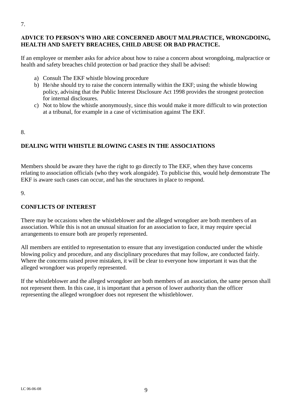## **ADVICE TO PERSON'S WHO ARE CONCERNED ABOUT MALPRACTICE, WRONGDOING, HEALTH AND SAFETY BREACHES, CHILD ABUSE OR BAD PRACTICE.**

If an employee or member asks for advice about how to raise a concern about wrongdoing, malpractice or health and safety breaches child protection or bad practice they shall be advised:

- a) Consult The EKF whistle blowing procedure
- b) He/she should try to raise the concern internally within the EKF; using the whistle blowing policy, advising that the Public Interest Disclosure Act 1998 provides the strongest protection for internal disclosures.
- c) Not to blow the whistle anonymously, since this would make it more difficult to win protection at a tribunal, for example in a case of victimisation against The EKF.

#### 8.

## **DEALING WITH WHISTLE BLOWING CASES IN THE ASSOCIATIONS**

Members should be aware they have the right to go directly to The EKF, when they have concerns relating to association officials (who they work alongside). To publicise this, would help demonstrate The EKF is aware such cases can occur, and has the structures in place to respond.

9.

## **CONFLICTS OF INTEREST**

There may be occasions when the whistleblower and the alleged wrongdoer are both members of an association. While this is not an unusual situation for an association to face, it may require special arrangements to ensure both are properly represented.

All members are entitled to representation to ensure that any investigation conducted under the whistle blowing policy and procedure, and any disciplinary procedures that may follow, are conducted fairly. Where the concerns raised prove mistaken, it will be clear to everyone how important it was that the alleged wrongdoer was properly represented.

If the whistleblower and the alleged wrongdoer are both members of an association, the same person shall not represent them. In this case, it is important that a person of lower authority than the officer representing the alleged wrongdoer does not represent the whistleblower.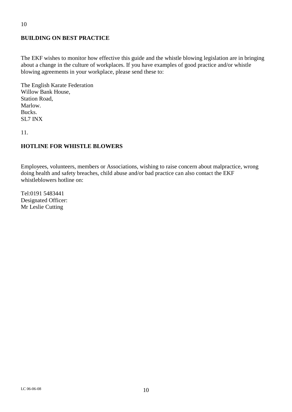# **BUILDING ON BEST PRACTICE**

The EKF wishes to monitor how effective this guide and the whistle blowing legislation are in bringing about a change in the culture of workplaces. If you have examples of good practice and/or whistle blowing agreements in your workplace, please send these to:

The English Karate Federation Willow Bank House, Station Road, Marlow. Bucks. SL7 INX

11.

#### **HOTLINE FOR WHISTLE BLOWERS**

Employees, volunteers, members or Associations, wishing to raise concern about malpractice, wrong doing health and safety breaches, child abuse and/or bad practice can also contact the EKF whistleblowers hotline on:

Tel:0191 5483441 Designated Officer: Mr Leslie Cutting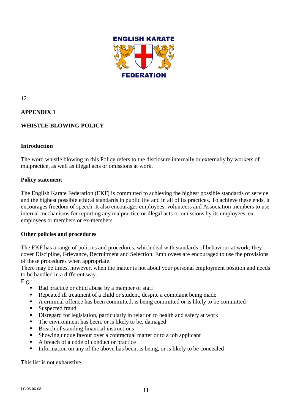

12.

## **APPENDIX 1**

## **WHISTLE BLOWING POLICY**

#### **Introduction**

The word whistle blowing in this Policy refers to the disclosure internally or externally by workers of malpractice, as well as illegal acts or omissions at work.

#### **Policy statement**

The English Karate Federation (EKF) is committed to achieving the highest possible standards of service and the highest possible ethical standards in public life and in all of its practices. To achieve these ends, it encourages freedom of speech. It also encourages employees, volunteers and Association members to use internal mechanisms for reporting any malpractice or illegal acts or omissions by its employees, exemployees or members or ex-members.

#### **Other policies and procedures**

The EKF has a range of policies and procedures, which deal with standards of behaviour at work; they cover Discipline, Grievance, Recruitment and Selection. Employees are encouraged to use the provisions of these procedures when appropriate.

There may be times, however, when the matter is not about your personal employment position and needs to be handled in a different way.

 $E.g.:$ 

- Bad practice or child abuse by a member of staff
- Repeated ill treatment of a child or student, despite a complaint being made
- A criminal offence has been committed, is being committed or is likely to be committed
- Suspected fraud
- Disregard for legislation, particularly in relation to health and safety at work
- The environment has been, or is likely to be, damaged
- Breach of standing financial instructions
- Showing undue favour over a contractual matter or to a job applicant
- A breach of a code of conduct or practice
- Information on any of the above has been, is being, or is likely to be concealed

This list is not exhaustive.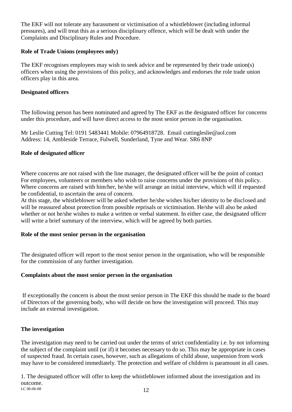The EKF will not tolerate any harassment or victimisation of a whistleblower (including informal pressures), and will treat this as a serious disciplinary offence, which will be dealt with under the Complaints and Disciplinary Rules and Procedure.

## **Role of Trade Unions (employees only)**

The EKF recognises employees may wish to seek advice and be represented by their trade union(s) officers when using the provisions of this policy, and acknowledges and endorses the role trade union officers play in this area.

## **Designated officers**

The following person has been nominated and agreed by The EKF as the designated officer for concerns under this procedure, and will have direct access to the most senior person in the organisation.

Mr Leslie Cutting Tel: 0191 5483441 Mobile: 07964918728. Email [cuttingleslie@aol.com](mailto:cuttingleslie@aol.com) Address: 14, Ambleside Terrace, Fulwell, Sunderland, Tyne and Wear. SR6 8NP

## **Role of designated officer**

Where concerns are not raised with the line manager, the designated officer will be the point of contact For employees, volunteers or members who wish to raise concerns under the provisions of this policy. Where concerns are raised with him/her, he/she will arrange an initial interview, which will if requested be confidential, to ascertain the area of concern.

At this stage, the whistleblower will be asked whether he/she wishes his/her identity to be disclosed and will be reassured about protection from possible reprisals or victimisation. He/she will also be asked whether or not he/she wishes to make a written or verbal statement. In either case, the designated officer will write a brief summary of the interview, which will be agreed by both parties.

## **Role of the most senior person in the organisation**

The designated officer will report to the most senior person in the organisation, who will be responsible for the commission of any further investigation.

## **Complaints about the most senior person in the organisation**

If exceptionally the concern is about the most senior person in The EKF this should be made to the board of Directors of the governing body, who will decide on how the investigation will proceed. This may include an external investigation.

## **The investigation**

The investigation may need to be carried out under the terms of strict confidentiality i.e. by not informing the subject of the complaint until (or if) it becomes necessary to do so. This may be appropriate in cases of suspected fraud. In certain cases, however, such as allegations of child abuse, suspension from work may have to be considered immediately. The protection and welfare of children is paramount in all cases.

 $LC$  06-06-08  $12$ 1. The designated officer will offer to keep the whistleblower informed about the investigation and its outcome.<br>LC 06-06-08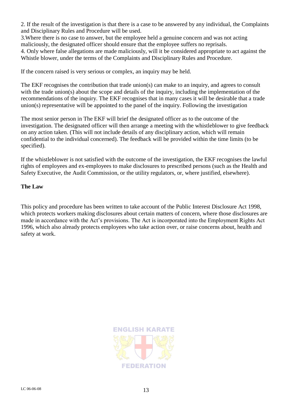2. If the result of the investigation is that there is a case to be answered by any individual, the Complaints and Disciplinary Rules and Procedure will be used.

3.Where there is no case to answer, but the employee held a genuine concern and was not acting maliciously, the designated officer should ensure that the employee suffers no reprisals.

4. Only where false allegations are made maliciously, will it be considered appropriate to act against the Whistle blower, under the terms of the Complaints and Disciplinary Rules and Procedure.

If the concern raised is very serious or complex, an inquiry may be held.

The EKF recognises the contribution that trade union(s) can make to an inquiry, and agrees to consult with the trade union(s) about the scope and details of the inquiry, including the implementation of the recommendations of the inquiry. The EKF recognises that in many cases it will be desirable that a trade union(s) representative will be appointed to the panel of the inquiry. Following the investigation

The most senior person in The EKF will brief the designated officer as to the outcome of the investigation. The designated officer will then arrange a meeting with the whistleblower to give feedback on any action taken. (This will not include details of any disciplinary action, which will remain confidential to the individual concerned). The feedback will be provided within the time limits (to be specified).

If the whistleblower is not satisfied with the outcome of the investigation, the EKF recognises the lawful rights of employees and ex-employees to make disclosures to prescribed persons (such as the Health and Safety Executive, the Audit Commission, or the utility regulators, or, where justified, elsewhere).

#### **The Law**

This policy and procedure has been written to take account of the Public Interest Disclosure Act 1998, which protects workers making disclosures about certain matters of concern, where those disclosures are made in accordance with the Act's provisions. The Act is incorporated into the Employment Rights Act 1996, which also already protects employees who take action over, or raise concerns about, health and safety at work.

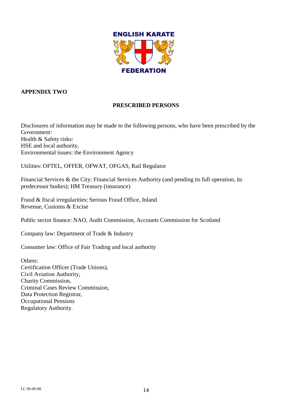

## **APPENDIX TWO**

## **PRESCRIBED PERSONS**

Disclosures of information may be made to the following persons, who have been prescribed by the Government: Health & Safety risks: HSE and local authority, Environmental issues: the Environment Agency

Utilities: OFTEL, OFFER, OFWAT, OFGAS, Rail Regulator

Financial Services & the City: Financial Services Authority (and pending its full operation, its predecessor bodies); HM Treasury (insurance)

Fraud & fiscal irregularities: Serious Fraud Office, Inland Revenue, Customs & Excise

Public sector finance: NAO, Audit Commission, Accounts Commission for Scotland

Company law: Department of Trade & Industry

Consumer law: Office of Fair Trading and local authority

Others: Certification Officer (Trade Unions), Civil Aviation Authority, Charity Commission, Criminal Cases Review Commission, Data Protection Registrar, Occupational Pensions Regulatory Authority.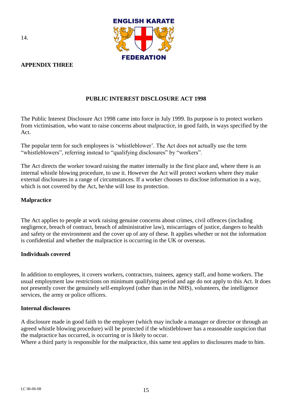

## **APPENDIX THREE**

## **PUBLIC INTEREST DISCLOSURE ACT 1998**

The Public Interest Disclosure Act 1998 came into force in July 1999. Its purpose is to protect workers from victimisation, who want to raise concerns about malpractice, in good faith, in ways specified by the Act.

The popular term for such employees is "whistleblower". The Act does not actually use the term "whistleblowers", referring instead to "qualifying disclosures" by "workers".

The Act directs the worker toward raising the matter internally in the first place and, where there is an internal whistle blowing procedure, to use it. However the Act will protect workers where they make external disclosures in a range of circumstances. If a worker chooses to disclose information in a way, which is not covered by the Act, he/she will lose its protection.

## **Malpractice**

The Act applies to people at work raising genuine concerns about crimes, civil offences (including negligence, breach of contract, breach of administrative law), miscarriages of justice, dangers to health and safety or the environment and the cover up of any of these. It applies whether or not the information is confidential and whether the malpractice is occurring in the UK or overseas.

#### **Individuals covered**

In addition to employees, it covers workers, contractors, trainees, agency staff, and home workers. The usual employment law restrictions on minimum qualifying period and age do not apply to this Act. It does not presently cover the genuinely self-employed (other than in the NHS), volunteers, the intelligence services, the army or police officers.

#### **Internal disclosures**

A disclosure made in good faith to the employer (which may include a manager or director or through an agreed whistle blowing procedure) will be protected if the whistleblower has a reasonable suspicion that the malpractice has occurred, is occurring or is likely to occur.

Where a third party is responsible for the malpractice, this same test applies to disclosures made to him.

14.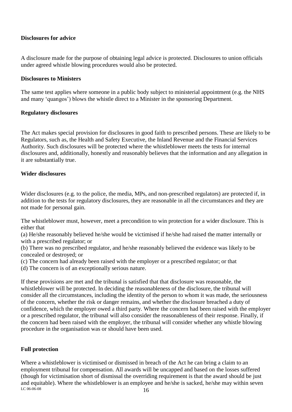### **Disclosures for advice**

A disclosure made for the purpose of obtaining legal advice is protected. Disclosures to union officials under agreed whistle blowing procedures would also be protected.

#### **Disclosures to Ministers**

The same test applies where someone in a public body subject to ministerial appointment (e.g. the NHS and many "quangos") blows the whistle direct to a Minister in the sponsoring Department.

#### **Regulatory disclosures**

The Act makes special provision for disclosures in good faith to prescribed persons. These are likely to be Regulators, such as, the Health and Safety Executive, the Inland Revenue and the Financial Services Authority. Such disclosures will be protected where the whistleblower meets the tests for internal disclosures and, additionally, honestly and reasonably believes that the information and any allegation in it are substantially true.

#### **Wider disclosures**

Wider disclosures (e.g. to the police, the media, MPs, and non-prescribed regulators) are protected if, in addition to the tests for regulatory disclosures, they are reasonable in all the circumstances and they are not made for personal gain.

The whistleblower must, however, meet a precondition to win protection for a wider disclosure. This is either that

(a) He/she reasonably believed he/she would be victimised if he/she had raised the matter internally or with a prescribed regulator; or

(b) There was no prescribed regulator, and he/she reasonably believed the evidence was likely to be concealed or destroyed; or

(c) The concern had already been raised with the employer or a prescribed regulator; or that

(d) The concern is of an exceptionally serious nature.

If these provisions are met and the tribunal is satisfied that that disclosure was reasonable, the whistleblower will be protected. In deciding the reasonableness of the disclosure, the tribunal will consider all the circumstances, including the identity of the person to whom it was made, the seriousness of the concern, whether the risk or danger remains, and whether the disclosure breached a duty of confidence, which the employer owed a third party. Where the concern had been raised with the employer or a prescribed regulator, the tribunal will also consider the reasonableness of their response. Finally, if the concern had been raised with the employer, the tribunal will consider whether any whistle blowing procedure in the organisation was or should have been used.

#### **Full protection**

LC 06-06-08  $16$ Where a whistleblower is victimised or dismissed in breach of the Act he can bring a claim to an employment tribunal for compensation. All awards will be uncapped and based on the losses suffered (though for victimisation short of dismissal the overriding requirement is that the award should be just and equitable). Where the whistleblower is an employee and he/she is sacked, he/she may within seven  $\frac{16}{16}$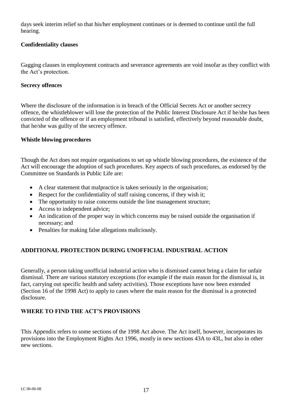days seek interim relief so that his/her employment continues or is deemed to continue until the full hearing.

## **Confidentiality clauses**

Gagging clauses in employment contracts and severance agreements are void insofar as they conflict with the Act"s protection.

### **Secrecy offences**

Where the disclosure of the information is in breach of the Official Secrets Act or another secrecy offence, the whistleblower will lose the protection of the Public Interest Disclosure Act if he/she has been convicted of the offence or if an employment tribunal is satisfied, effectively beyond reasonable doubt, that he/she was guilty of the secrecy offence.

#### **Whistle blowing procedures**

Though the Act does not require organisations to set up whistle blowing procedures, the existence of the Act will encourage the adoption of such procedures. Key aspects of such procedures, as endorsed by the Committee on Standards in Public Life are:

- A clear statement that malpractice is taken seriously in the organisation;
- Respect for the confidentiality of staff raising concerns, if they wish it;
- The opportunity to raise concerns outside the line management structure;
- Access to independent advice;
- An indication of the proper way in which concerns may be raised outside the organisation if necessary; and
- Penalties for making false allegations maliciously.

## **ADDITIONAL PROTECTION DURING UNOFFICIAL INDUSTRIAL ACTION**

Generally, a person taking unofficial industrial action who is dismissed cannot bring a claim for unfair dismissal. There are various statutory exceptions (for example if the main reason for the dismissal is, in fact, carrying out specific health and safety activities). Those exceptions have now been extended (Section 16 of the 1998 Act) to apply to cases where the main reason for the dismissal is a protected disclosure.

## **WHERE TO FIND THE ACT'S PROVISIONS**

This Appendix refers to some sections of the 1998 Act above. The Act itself, however, incorporates its provisions into the Employment Rights Act 1996, mostly in new sections 43A to 43L, but also in other new sections.